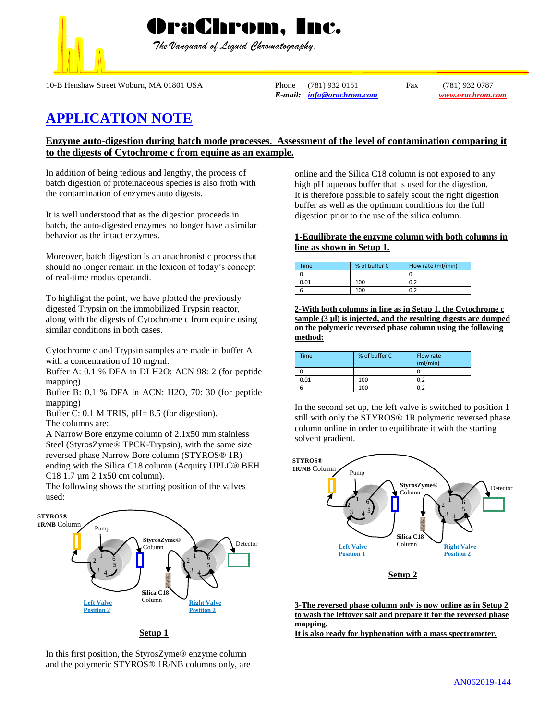

 *The Vanguard of Liquid Chromatography.*

10-B Henshaw Street Woburn, MA 01801 USA Phone (781) 932 0151 Fax (781) 932 0787

*E-mail: [info@orachrom.com](mailto:info@orachrom.com) www.orachrom.com*

# **APPLICATION NOTE**

# **Enzyme auto-digestion during batch mode processes. Assessment of the level of contamination comparing it to the digests of Cytochrome c from equine as an example.**

In addition of being tedious and lengthy, the process of batch digestion of proteinaceous species is also froth with the contamination of enzymes auto digests.

It is well understood that as the digestion proceeds in batch, the auto-digested enzymes no longer have a similar behavior as the intact enzymes.

Moreover, batch digestion is an anachronistic process that should no longer remain in the lexicon of today's concept of real-time modus operandi.

To highlight the point, we have plotted the previously digested Trypsin on the immobilized Trypsin reactor, along with the digests of Cytochrome c from equine using similar conditions in both cases.

Cytochrome c and Trypsin samples are made in buffer A with a concentration of 10 mg/ml.

Buffer A: 0.1 % DFA in DI H2O: ACN 98: 2 (for peptide mapping)

Buffer B: 0.1 % DFA in ACN: H2O, 70: 30 (for peptide mapping)

Buffer C: 0.1 M TRIS, pH= 8.5 (for digestion).

The columns are:

A Narrow Bore enzyme column of 2.1x50 mm stainless Steel (StyrosZyme® TPCK-Trypsin), with the same size reversed phase Narrow Bore column (STYROS® 1R) ending with the Silica C18 column (Acquity UPLC® BEH C18 1.7 µm 2.1x50 cm column).

The following shows the starting position of the valves used:



In this first position, the StyrosZyme® enzyme column and the polymeric STYROS® 1R/NB columns only, are online and the Silica C18 column is not exposed to any high pH aqueous buffer that is used for the digestion. It is therefore possible to safely scout the right digestion buffer as well as the optimum conditions for the full digestion prior to the use of the silica column.

## **1-Equilibrate the enzyme column with both columns in line as shown in Setup 1.**

| Time | % of buffer C | Flow rate (ml/min) |
|------|---------------|--------------------|
|      |               |                    |
| 0.01 | 100           | 0.2                |
|      | 100           | ስ ን                |

**2-With both columns in line as in Setup 1, the Cytochrome c sample (3 µl) is injected, and the resulting digests are dumped on the polymeric reversed phase column using the following method:**

| <b>Time</b> | % of buffer C | Flow rate<br>(mI/min) |
|-------------|---------------|-----------------------|
|             |               |                       |
| 0.01        | 100           | 0.2                   |
|             | 100           | 0.2                   |

In the second set up, the left valve is switched to position 1 still with only the STYROS® 1R polymeric reversed phase column online in order to equilibrate it with the starting solvent gradient.



**3-The reversed phase column only is now online as in Setup 2 to wash the leftover salt and prepare it for the reversed phase mapping.** 

**It is also ready for hyphenation with a mass spectrometer.**